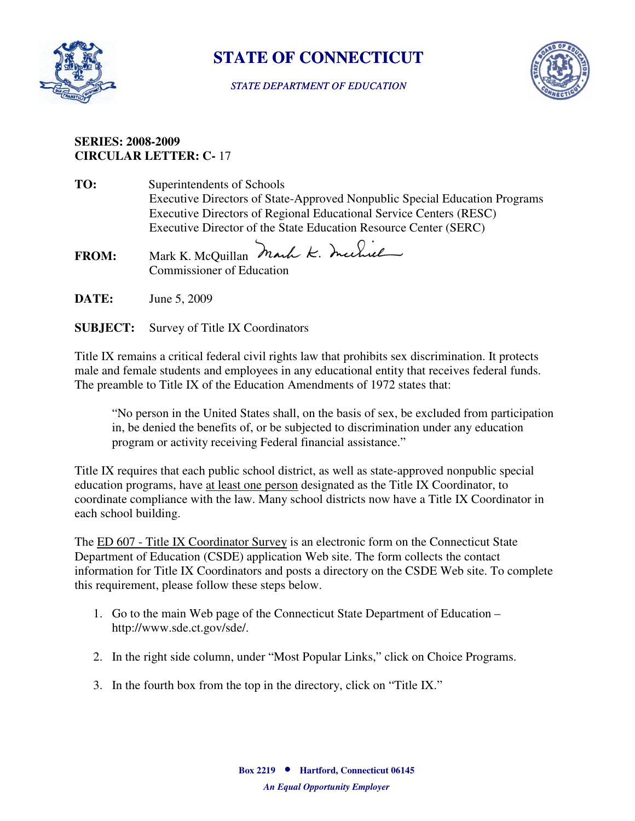

# **STATE OF CONNECTICUT**

#### *STATE DEPARTMENT OF EDUCATION*



### **CIRCULAR LETTER: C-** 17 **SERIES: 2008-2009**

- **TO:** Superintendents of Schools Executive Directors of State-Approved Nonpublic Special Education Programs Executive Directors of Regional Educational Service Centers (RESC) Executive Director of the State Education Resource Center (SERC)
- FROM: Mark K. McQuillan Mark K. Inchiel Commissioner of Education
- **DATE:** June 5, 2009
- **SUBJECT:** Survey of Title IX Coordinators

 Title IX remains a critical federal civil rights law that prohibits sex discrimination. It protects male and female students and employees in any educational entity that receives federal funds. The preamble to Title IX of the Education Amendments of 1972 states that:

"No person in the United States shall, on the basis of sex, be excluded from participation in, be denied the benefits of, or be subjected to discrimination under any education program or activity receiving Federal financial assistance."

 Title IX requires that each public school district, as well as state-approved nonpublic special education programs, have at least one person designated as the Title IX Coordinator, to coordinate compliance with the law. Many school districts now have a Title IX Coordinator in each school building.

 information for Title IX Coordinators and posts a directory on the CSDE Web site. To complete The ED 607 - Title IX Coordinator Survey is an electronic form on the Connecticut State Department of Education (CSDE) application Web site. The form collects the contact this requirement, please follow these steps below.

- 1. Go to the main Web page of the Connecticut State Department of Education http://www.sde.ct.gov/sde/.
- 2. In the right side column, under "Most Popular Links," click on Choice Programs.
- 3. In the fourth box from the top in the directory, click on "Title IX."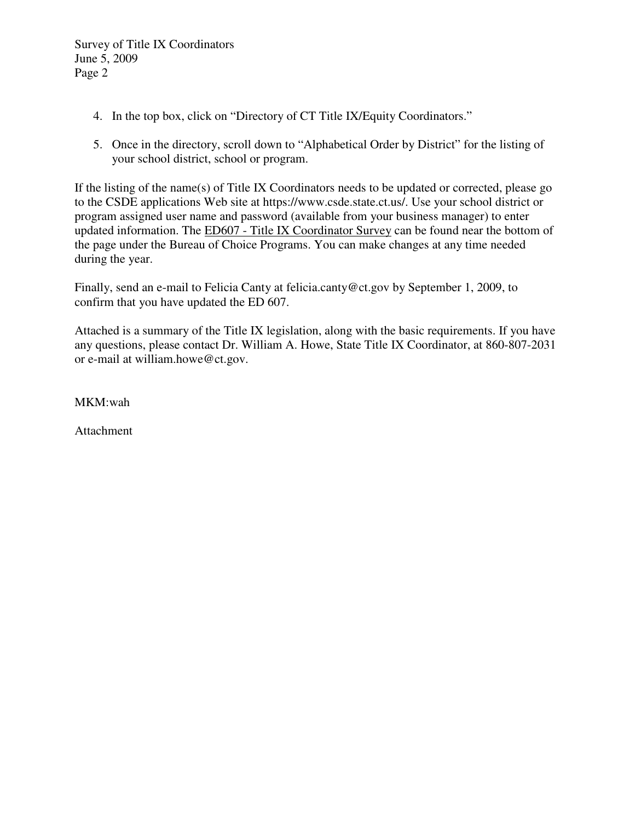Survey of Title IX Coordinators June 5, 2009 Page 2

- 4. In the top box, click on "Directory of CT Title IX/Equity Coordinators."
- 5. Once in the directory, scroll down to "Alphabetical Order by District" for the listing of your school district, school or program.

If the listing of the name(s) of Title IX Coordinators needs to be updated or corrected, please go to the CSDE applications Web site at https://www.csde.state.ct.us/. Use your school district or program assigned user name and password (available from your business manager) to enter updated information. The ED607 - Title IX Coordinator Survey can be found near the bottom of the page under the Bureau of Choice Programs. You can make changes at any time needed during the year.

Finally, send an e-mail to Felicia Canty at felicia.canty@ct.gov by September 1, 2009, to confirm that you have updated the ED 607.

 Attached is a summary of the Title IX legislation, along with the basic requirements. If you have any questions, please contact Dr. William A. Howe, State Title IX Coordinator, at 860-807-2031 or e-mail at william.howe@ct.gov.

MKM:wah

Attachment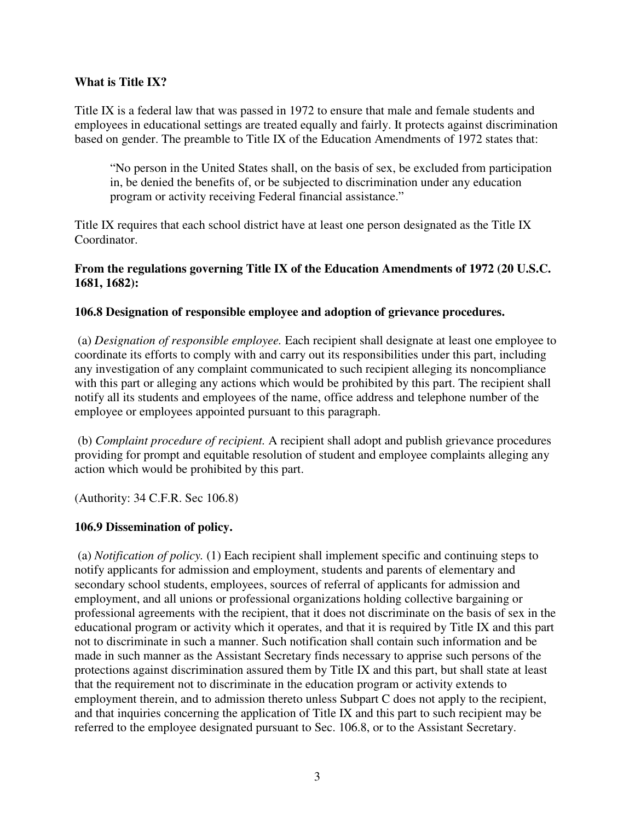#### **What is Title IX?**

 Title IX is a federal law that was passed in 1972 to ensure that male and female students and based on gender. The preamble to Title IX of the Education Amendments of 1972 states that: employees in educational settings are treated equally and fairly. It protects against discrimination

"No person in the United States shall, on the basis of sex, be excluded from participation in, be denied the benefits of, or be subjected to discrimination under any education program or activity receiving Federal financial assistance."

 Title IX requires that each school district have at least one person designated as the Title IX Coordinator.

### **From the regulations governing Title IX of the Education Amendments of 1972 (20 U.S.C. 1681, 1682):**

### **106.8 Designation of responsible employee and adoption of grievance procedures.**

 any investigation of any complaint communicated to such recipient alleging its noncompliance with this part or alleging any actions which would be prohibited by this part. The recipient shall (a) *Designation of responsible employee.* Each recipient shall designate at least one employee to coordinate its efforts to comply with and carry out its responsibilities under this part, including notify all its students and employees of the name, office address and telephone number of the employee or employees appointed pursuant to this paragraph.

 (b) *Complaint procedure of recipient.* A recipient shall adopt and publish grievance procedures providing for prompt and equitable resolution of student and employee complaints alleging any action which would be prohibited by this part.

(Authority: 34 C.F.R. Sec 106.8)

## **106.9 Dissemination of policy.**

 secondary school students, employees, sources of referral of applicants for admission and educational program or activity which it operates, and that it is required by Title IX and this part protections against discrimination assured them by Title IX and this part, but shall state at least that the requirement not to discriminate in the education program or activity extends to and that inquiries concerning the application of Title IX and this part to such recipient may be referred to the employee designated pursuant to Sec. 106.8, or to the Assistant Secretary. (a) *Notification of policy.* (1) Each recipient shall implement specific and continuing steps to notify applicants for admission and employment, students and parents of elementary and employment, and all unions or professional organizations holding collective bargaining or professional agreements with the recipient, that it does not discriminate on the basis of sex in the not to discriminate in such a manner. Such notification shall contain such information and be made in such manner as the Assistant Secretary finds necessary to apprise such persons of the employment therein, and to admission thereto unless Subpart C does not apply to the recipient,